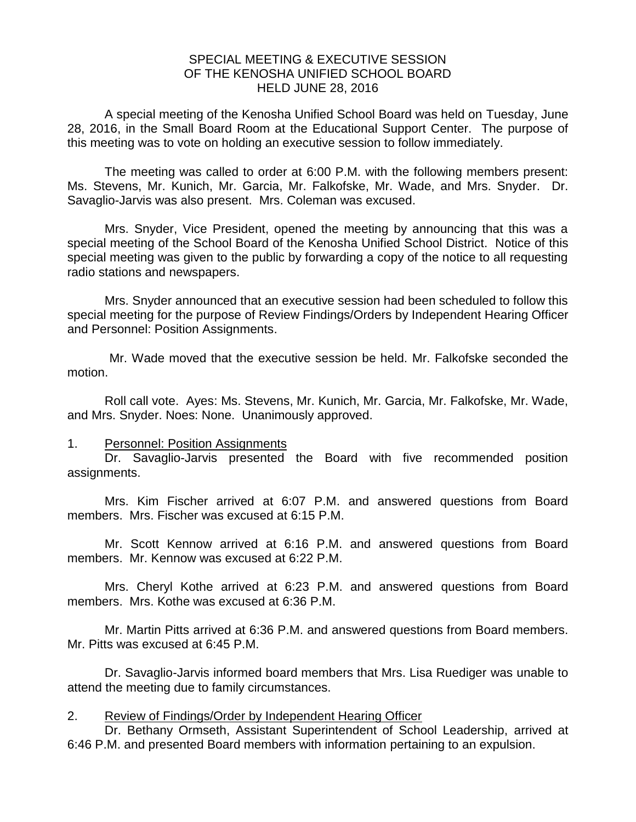## SPECIAL MEETING & EXECUTIVE SESSION OF THE KENOSHA UNIFIED SCHOOL BOARD HELD JUNE 28, 2016

A special meeting of the Kenosha Unified School Board was held on Tuesday, June 28, 2016, in the Small Board Room at the Educational Support Center. The purpose of this meeting was to vote on holding an executive session to follow immediately.

The meeting was called to order at 6:00 P.M. with the following members present: Ms. Stevens, Mr. Kunich, Mr. Garcia, Mr. Falkofske, Mr. Wade, and Mrs. Snyder. Dr. Savaglio-Jarvis was also present. Mrs. Coleman was excused.

Mrs. Snyder, Vice President, opened the meeting by announcing that this was a special meeting of the School Board of the Kenosha Unified School District. Notice of this special meeting was given to the public by forwarding a copy of the notice to all requesting radio stations and newspapers.

Mrs. Snyder announced that an executive session had been scheduled to follow this special meeting for the purpose of Review Findings/Orders by Independent Hearing Officer and Personnel: Position Assignments.

Mr. Wade moved that the executive session be held. Mr. Falkofske seconded the motion.

Roll call vote. Ayes: Ms. Stevens, Mr. Kunich, Mr. Garcia, Mr. Falkofske, Mr. Wade, and Mrs. Snyder. Noes: None. Unanimously approved.

## 1. Personnel: Position Assignments

Dr. Savaglio-Jarvis presented the Board with five recommended position assignments.

Mrs. Kim Fischer arrived at 6:07 P.M. and answered questions from Board members. Mrs. Fischer was excused at 6:15 P.M.

Mr. Scott Kennow arrived at 6:16 P.M. and answered questions from Board members. Mr. Kennow was excused at 6:22 P.M.

Mrs. Cheryl Kothe arrived at 6:23 P.M. and answered questions from Board members. Mrs. Kothe was excused at 6:36 P.M.

Mr. Martin Pitts arrived at 6:36 P.M. and answered questions from Board members. Mr. Pitts was excused at 6:45 P.M.

Dr. Savaglio-Jarvis informed board members that Mrs. Lisa Ruediger was unable to attend the meeting due to family circumstances.

## 2. Review of Findings/Order by Independent Hearing Officer

Dr. Bethany Ormseth, Assistant Superintendent of School Leadership, arrived at 6:46 P.M. and presented Board members with information pertaining to an expulsion.